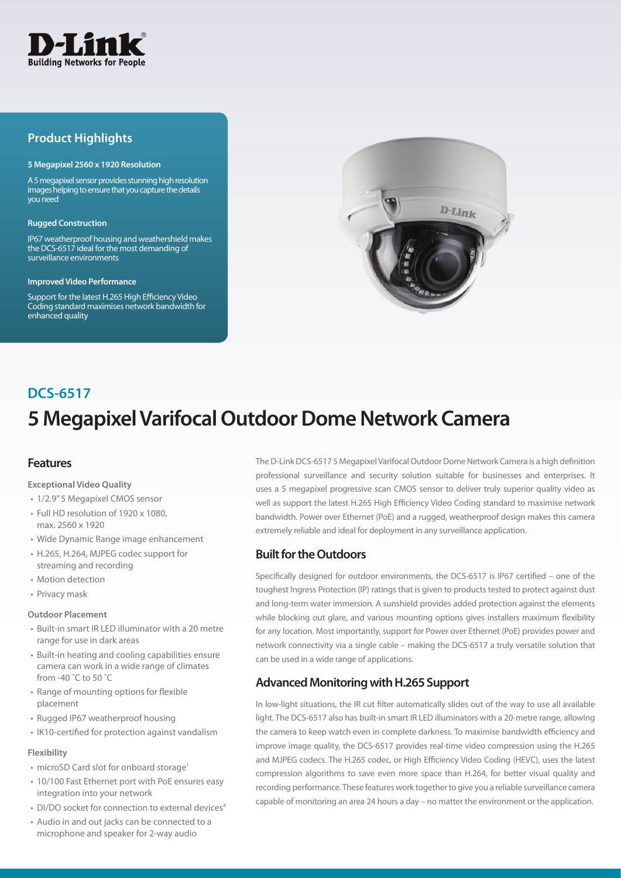

## **Product Highlights**

### **5 Megapixel 2560 x 1920 Resolution**

A 5 megapixel sensor provides stunning high resolution images helping to ensure that you capture the details you need

### **Rugged Construction**

IP67 weatherproof housing and weathershield makes the DCS-6517 ideal for the most demanding of surveillance environments

#### **Improved Video Performance**

Support for the latest H.265 High Efficiency Video Coding standard maximises network bandwidth for enhanced quality



# **5 Megapixel Varifocal Outdoor Dome Network Camera DCS-6517**

## **Features**

### **Exceptional Video Quality**

- 1/2.9" 5 Megapixel CMOS sensor
- Full HD resolution of 1920 x 1080, max. 2560 x 1920
- Wide Dynamic Range image enhancement
- H.265, H.264, MJPEG codec support for streaming and recording
- Motion detection
- Privacy mask

### **Outdoor Placement**

- Built-in smart IR LED illuminator with a 20 metre range for use in dark areas
- Built-in heating and cooling capabilities ensure camera can work in a wide range of climates from -40 ˚C to 50 ˚C
- Range of mounting options for flexible placement
- Rugged IP67 weatherproof housing
- IK10-certified for protection against vandalism

### **Flexibility**

- microSD Card slot for onboard storage<sup>1</sup>
- 10/100 Fast Ethernet port with PoE ensures easy integration into your network
- DI/DO socket for connection to external devices<sup>4</sup>
- Audio in and out jacks can be connected to a microphone and speaker for 2-way audio

The D-Link DCS-6517 5 Megapixel Varifocal Outdoor Dome Network Camera is a high definition professional surveillance and security solution suitable for businesses and enterprises. It uses a 5 megapixel progressive scan CMOS sensor to deliver truly superior quality video as well as support the latest H.265 High Efficiency Video Coding standard to maximise network bandwidth. Power over Ethernet (PoE) and a rugged, weatherproof design makes this camera extremely reliable and ideal for deployment in any surveillance application.

## **Built for the Outdoors**

Specifically designed for outdoor environments, the DCS-6517 is IP67 certified – one of the toughest Ingress Protection (IP) ratings that is given to products tested to protect against dust and long-term water immersion. A sunshield provides added protection against the elements while blocking out glare, and various mounting options gives installers maximum flexibility for any location. Most importantly, support for Power over Ethernet (PoE) provides power and network connectivity via a single cable – making the DCS-6517 a truly versatile solution that can be used in a wide range of applications.

## **Advanced Monitoring with H.265 Support**

In low-light situations, the IR cut filter automatically slides out of the way to use all available light. The DCS-6517 also has built-in smart IR LED illuminators with a 20-metre range, allowing the camera to keep watch even in complete darkness. To maximise bandwidth efficiency and improve image quality, the DCS-6517 provides real-time video compression using the H.265 and MJPEG codecs. The H.265 codec, or High Efficiency Video Coding (HEVC), uses the latest compression algorithms to save even more space than H.264, for better visual quality and recording performance. These features work together to give you a reliable surveillance camera capable of monitoring an area 24 hours a day – no matter the environment or the application.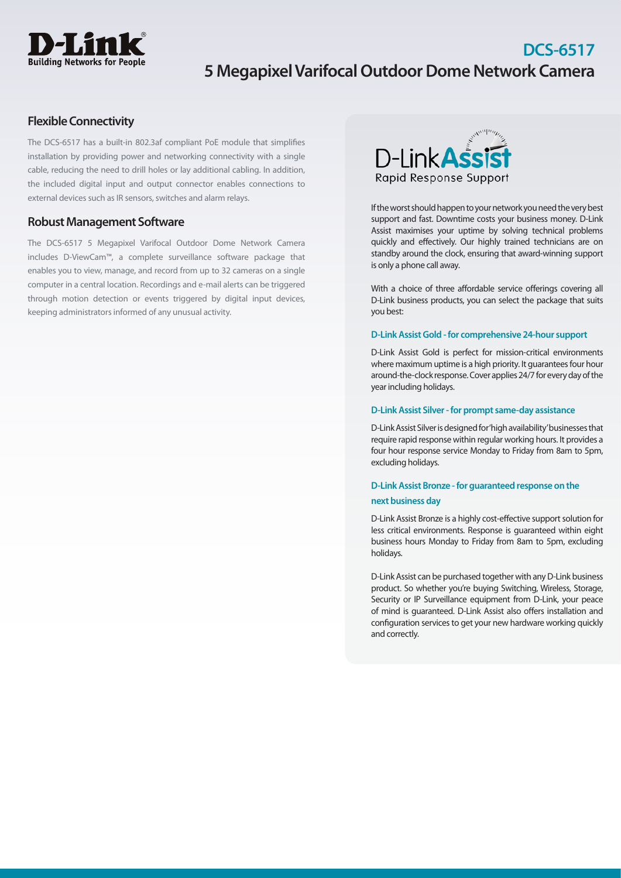

## **DCS-6517 5 Megapixel Varifocal Outdoor Dome Network Camera**

## **Flexible Connectivity**

The DCS-6517 has a built-in 802.3af compliant PoE module that simplifies installation by providing power and networking connectivity with a single cable, reducing the need to drill holes or lay additional cabling. In addition, the included digital input and output connector enables connections to external devices such as IR sensors, switches and alarm relays.

### **Robust Management Software**

The DCS-6517 5 Megapixel Varifocal Outdoor Dome Network Camera includes D-ViewCam™, a complete surveillance software package that enables you to view, manage, and record from up to 32 cameras on a single computer in a central location. Recordings and e-mail alerts can be triggered through motion detection or events triggered by digital input devices, keeping administrators informed of any unusual activity.



If the worst should happen to your network you need the very best support and fast. Downtime costs your business money. D-Link Assist maximises your uptime by solving technical problems quickly and effectively. Our highly trained technicians are on standby around the clock, ensuring that award-winning support is only a phone call away.

With a choice of three affordable service offerings covering all D-Link business products, you can select the package that suits you best:

### **D-Link Assist Gold - for comprehensive 24-hour support**

D-Link Assist Gold is perfect for mission-critical environments where maximum uptime is a high priority. It guarantees four hour around-the-clock response. Cover applies 24/7 for every day of the year including holidays.

### **D-Link Assist Silver - for prompt same-day assistance**

D-Link Assist Silver is designed for 'high availability' businesses that require rapid response within regular working hours. It provides a four hour response service Monday to Friday from 8am to 5pm, excluding holidays.

### **D-Link Assist Bronze - for guaranteed response on the next business day**

D-Link Assist Bronze is a highly cost-effective support solution for less critical environments. Response is guaranteed within eight business hours Monday to Friday from 8am to 5pm, excluding holidays.

D-Link Assist can be purchased together with any D-Link business product. So whether you're buying Switching, Wireless, Storage, Security or IP Surveillance equipment from D-Link, your peace of mind is guaranteed. D-Link Assist also offers installation and configuration services to get your new hardware working quickly and correctly.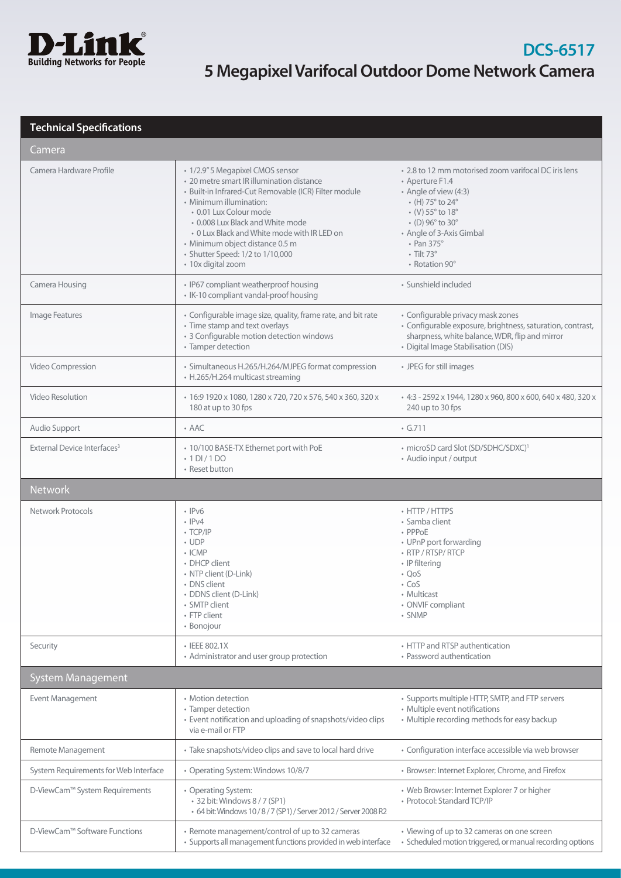

# **DCS-6517 5 Megapixel Varifocal Outdoor Dome Network Camera**

## **Technical Specifications**

| Camera                                  |                                                                                                                                                                                                                                                                                                                                                                             |                                                                                                                                                                                                                                                                                                                                                    |  |
|-----------------------------------------|-----------------------------------------------------------------------------------------------------------------------------------------------------------------------------------------------------------------------------------------------------------------------------------------------------------------------------------------------------------------------------|----------------------------------------------------------------------------------------------------------------------------------------------------------------------------------------------------------------------------------------------------------------------------------------------------------------------------------------------------|--|
| Camera Hardware Profile                 | · 1/2.9" 5 Megapixel CMOS sensor<br>• 20 metre smart IR illumination distance<br>· Built-in Infrared-Cut Removable (ICR) Filter module<br>• Minimum illumination:<br>• 0.01 Lux Colour mode<br>• 0.008 Lux Black and White mode<br>• 0 Lux Black and White mode with IR LED on<br>· Minimum object distance 0.5 m<br>• Shutter Speed: 1/2 to 1/10,000<br>· 10x digital zoom | • 2.8 to 12 mm motorised zoom varifocal DC iris lens<br>• Aperture F1.4<br>• Angle of view (4:3)<br>$\cdot$ (H) 75 $\degree$ to 24 $\degree$<br>$\cdot$ (V) 55 $^{\circ}$ to 18 $^{\circ}$<br>$\cdot$ (D) 96 $^{\circ}$ to 30 $^{\circ}$<br>• Angle of 3-Axis Gimbal<br>$\cdot$ Pan 375 $^{\circ}$<br>$\cdot$ Tilt 73 $^{\circ}$<br>• Rotation 90° |  |
| Camera Housing                          | • IP67 compliant weatherproof housing<br>• IK-10 compliant vandal-proof housing                                                                                                                                                                                                                                                                                             | · Sunshield included                                                                                                                                                                                                                                                                                                                               |  |
| Image Features                          | • Configurable image size, quality, frame rate, and bit rate<br>• Time stamp and text overlays<br>• 3 Configurable motion detection windows<br>• Tamper detection                                                                                                                                                                                                           | • Configurable privacy mask zones<br>• Configurable exposure, brightness, saturation, contrast,<br>sharpness, white balance, WDR, flip and mirror<br>· Digital Image Stabilisation (DIS)                                                                                                                                                           |  |
| Video Compression                       | · Simultaneous H.265/H.264/MJPEG format compression<br>• H.265/H.264 multicast streaming                                                                                                                                                                                                                                                                                    | • JPEG for still images                                                                                                                                                                                                                                                                                                                            |  |
| <b>Video Resolution</b>                 | • 16:9 1920 x 1080, 1280 x 720, 720 x 576, 540 x 360, 320 x<br>180 at up to 30 fps                                                                                                                                                                                                                                                                                          | + 4:3 - 2592 x 1944, 1280 x 960, 800 x 600, 640 x 480, 320 x<br>240 up to 30 fps                                                                                                                                                                                                                                                                   |  |
| Audio Support                           | $\cdot$ AAC                                                                                                                                                                                                                                                                                                                                                                 | $\cdot$ G.711                                                                                                                                                                                                                                                                                                                                      |  |
| External Device Interfaces <sup>3</sup> | • 10/100 BASE-TX Ethernet port with PoE<br>$\cdot$ 1 DI/1 DO<br>• Reset button                                                                                                                                                                                                                                                                                              | • microSD card Slot (SD/SDHC/SDXC) <sup>1</sup><br>• Audio input / output                                                                                                                                                                                                                                                                          |  |
| <b>Network</b>                          |                                                                                                                                                                                                                                                                                                                                                                             |                                                                                                                                                                                                                                                                                                                                                    |  |
| Network Protocols                       | $\cdot$ IPv6<br>$\cdot$ IPv4<br>$\cdot$ TCP/IP<br>$\cdot$ UDP<br>$\cdot$ ICMP<br>• DHCP client<br>• NTP client (D-Link)<br>• DNS client<br>· DDNS client (D-Link)<br>• SMTP client<br>• FTP client<br>• Bonojour                                                                                                                                                            | • HTTP / HTTPS<br>• Samba client<br>• PPPoE<br>• UPnP port forwarding<br>• RTP / RTSP/ RTCP<br>• IP filtering<br>$\cdot$ QoS<br>$\cdot$ CoS<br>• Multicast<br>• ONVIF compliant<br>• SNMP                                                                                                                                                          |  |
| Security                                | • IEEE 802.1X<br>• Administrator and user group protection                                                                                                                                                                                                                                                                                                                  | • HTTP and RTSP authentication<br>• Password authentication                                                                                                                                                                                                                                                                                        |  |
| <b>System Management</b>                |                                                                                                                                                                                                                                                                                                                                                                             |                                                                                                                                                                                                                                                                                                                                                    |  |
| Event Management                        | • Motion detection                                                                                                                                                                                                                                                                                                                                                          |                                                                                                                                                                                                                                                                                                                                                    |  |
|                                         | • Tamper detection<br>• Event notification and uploading of snapshots/video clips<br>via e-mail or FTP                                                                                                                                                                                                                                                                      | • Supports multiple HTTP, SMTP, and FTP servers<br>• Multiple event notifications<br>• Multiple recording methods for easy backup                                                                                                                                                                                                                  |  |
| Remote Management                       | • Take snapshots/video clips and save to local hard drive                                                                                                                                                                                                                                                                                                                   | • Configuration interface accessible via web browser                                                                                                                                                                                                                                                                                               |  |
| System Requirements for Web Interface   | • Operating System: Windows 10/8/7                                                                                                                                                                                                                                                                                                                                          | • Browser: Internet Explorer, Chrome, and Firefox                                                                                                                                                                                                                                                                                                  |  |
| D-ViewCam™ System Requirements          | • Operating System:<br>• 32 bit: Windows 8 / 7 (SP1)<br>• 64 bit: Windows 10/8/7 (SP1) / Server 2012 / Server 2008 R2                                                                                                                                                                                                                                                       | • Web Browser: Internet Explorer 7 or higher<br>· Protocol: Standard TCP/IP                                                                                                                                                                                                                                                                        |  |